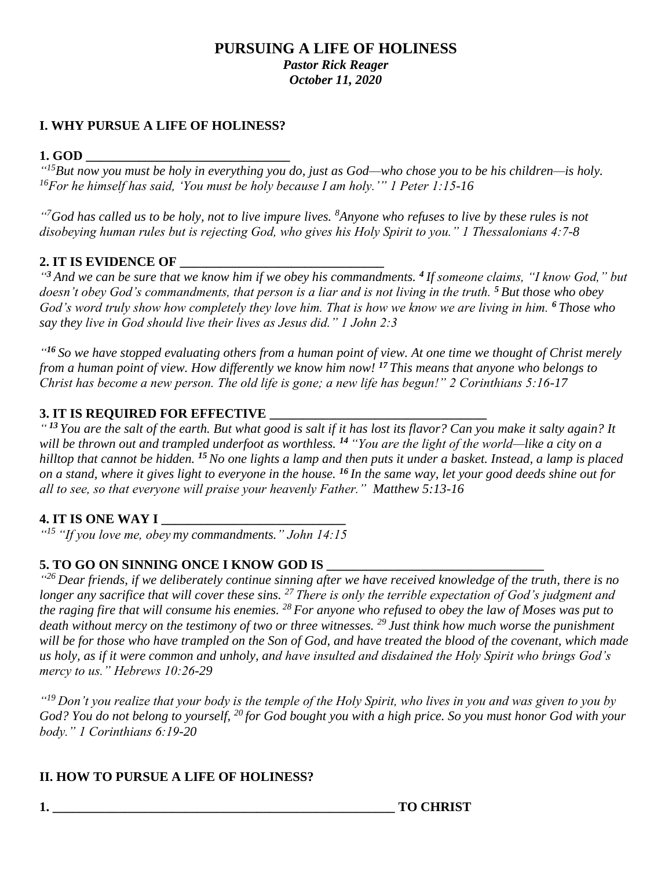## **PURSUING A LIFE OF HOLINESS** *Pastor Rick Reager October 11, 2020*

## **I. WHY PURSUE A LIFE OF HOLINESS?**

### **1. GOD \_\_\_\_\_\_\_\_\_\_\_\_\_\_\_\_\_\_\_\_\_\_\_\_\_\_\_\_\_\_\_**

*" <sup>15</sup>But now you must be holy in everything you do, just as God—who chose you to be his children—is holy. <sup>16</sup>For he himself has said, 'You must be holy because I am holy.'" 1 Peter 1:15-16*

*" <sup>7</sup>God has called us to be holy, not to live impure lives. <sup>8</sup>Anyone who refuses to live by these rules is not disobeying human rules but is rejecting God, who gives his Holy Spirit to you." 1 Thessalonians 4:7-8*

# **2. IT IS EVIDENCE OF \_\_\_\_\_\_\_\_\_\_\_\_\_\_\_\_\_\_\_\_\_\_\_\_\_\_\_\_\_\_\_**

*" <sup>3</sup> And we can be sure that we know him if we obey his commandments. <sup>4</sup> If someone claims, "I know God," but doesn't obey God's commandments, that person is a liar and is not living in the truth. <sup>5</sup> But those who obey God's word truly show how completely they love him. That is how we know we are living in him. <sup>6</sup> Those who say they live in God should live their lives as Jesus did." 1 John 2:3*

*" <sup>16</sup> So we have stopped evaluating others from a human point of view. At one time we thought of Christ merely from a human point of view. How differently we know him now! <sup>17</sup> This means that anyone who belongs to Christ has become a new person. The old life is gone; a new life has begun!" 2 Corinthians 5:16-17*

### **3. IT IS REQUIRED FOR EFFECTIVE**

*" <sup>13</sup> You are the salt of the earth. But what good is salt if it has lost its flavor? Can you make it salty again? It will be thrown out and trampled underfoot as worthless. <sup>14</sup> "You are the light of the world—like a city on a hilltop that cannot be hidden. <sup>15</sup>No one lights a lamp and then puts it under a basket. Instead, a lamp is placed on a stand, where it gives light to everyone in the house. <sup>16</sup> In the same way, let your good deeds shine out for all to see, so that everyone will praise your heavenly Father." Matthew 5:13-16* 

# **4. IT IS ONE WAY I**

*" <sup>15</sup> "If you love me, obey my commandments." John 14:15*

### **5. TO GO ON SINNING ONCE I KNOW GOD IS \_\_\_\_\_\_\_\_\_\_\_\_\_\_\_\_\_\_\_\_\_\_\_\_\_\_\_\_\_\_\_\_\_**

*" <sup>26</sup> Dear friends, if we deliberately continue sinning after we have received knowledge of the truth, there is no longer any sacrifice that will cover these sins. <sup>27</sup> There is only the terrible expectation of God's judgment and the raging fire that will consume his enemies. <sup>28</sup> For anyone who refused to obey the law of Moses was put to death without mercy on the testimony of two or three witnesses. <sup>29</sup> Just think how much worse the punishment will be for those who have trampled on the Son of God, and have treated the blood of the covenant, which made us holy, as if it were common and unholy, and have insulted and disdained the Holy Spirit who brings God's mercy to us." Hebrews 10:26-29*

*" <sup>19</sup> Don't you realize that your body is the temple of the Holy Spirit, who lives in you and was given to you by God? You do not belong to yourself, <sup>20</sup> for God bought you with a high price. So you must honor God with your body." 1 Corinthians 6:19-20*

# **II. HOW TO PURSUE A LIFE OF HOLINESS?**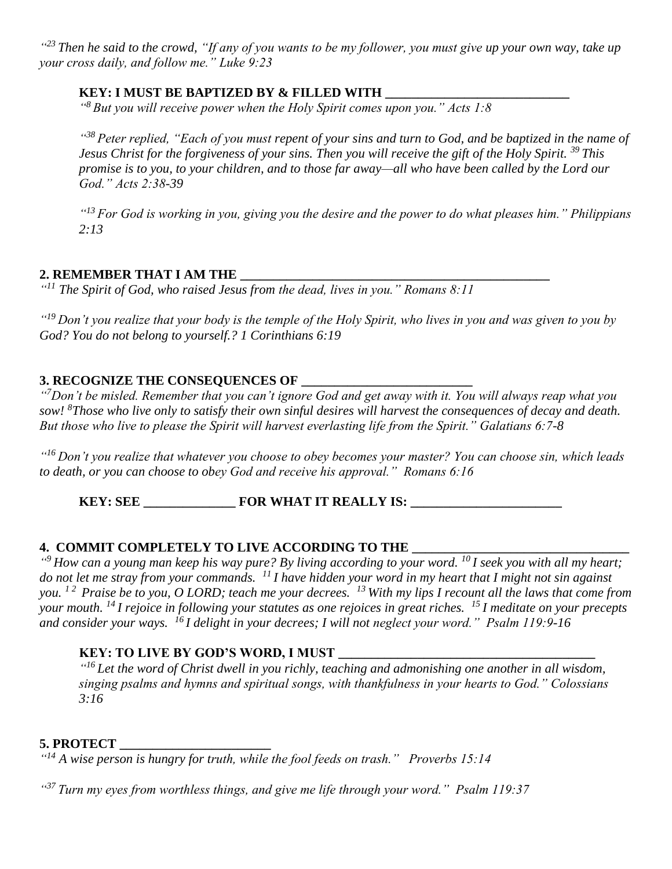*" <sup>23</sup> Then he said to the crowd, "If any of you wants to be my follower, you must give up your own way, take up your cross daily, and follow me." Luke 9:23*

## **KEY: I MUST BE BAPTIZED BY & FILLED WITH \_\_\_\_\_\_\_\_\_\_\_\_\_\_\_\_\_\_\_\_\_\_\_\_\_\_\_\_**

*" <sup>8</sup> But you will receive power when the Holy Spirit comes upon you." Acts 1:8*

<sup>438</sup> Peter replied, "Each of you must repent of your sins and turn to God, and be baptized in the name of *Jesus Christ for the forgiveness of your sins. Then you will receive the gift of the Holy Spirit. <sup>39</sup> This promise is to you, to your children, and to those far away—all who have been called by the Lord our God." Acts 2:38-39*

*" <sup>13</sup> For God is working in you, giving you the desire and the power to do what pleases him." Philippians 2:13*

### **2. REMEMBER THAT I AM THE \_\_\_\_\_\_\_\_\_\_\_\_\_\_\_\_\_\_\_\_\_\_\_\_\_\_\_\_\_\_\_\_\_\_\_\_\_\_\_\_\_\_\_\_\_\_\_**

*" <sup>11</sup> The Spirit of God, who raised Jesus from the dead, lives in you." Romans 8:11*

*" <sup>19</sup> Don't you realize that your body is the temple of the Holy Spirit, who lives in you and was given to you by God? You do not belong to yourself.? 1 Corinthians 6:19*

# **3. RECOGNIZE THE CONSEQUENCES OF \_\_\_\_\_\_\_\_\_\_\_\_\_\_\_\_\_\_\_\_\_\_\_\_\_\_**

*" <sup>7</sup>Don't be misled. Remember that you can't ignore God and get away with it. You will always reap what you sow! <sup>8</sup>Those who live only to satisfy their own sinful desires will harvest the consequences of decay and death. But those who live to please the Spirit will harvest everlasting life from the Spirit." Galatians 6:7-8*

*" <sup>16</sup>Don't you realize that whatever you choose to obey becomes your master? You can choose sin, which leads to death, or you can choose to obey God and receive his approval." Romans 6:16*

**KEY: SEE \_\_\_\_\_\_\_\_\_\_\_\_\_\_ FOR WHAT IT REALLY IS: \_\_\_\_\_\_\_\_\_\_\_\_\_\_\_\_\_\_\_\_\_\_\_**

### **4. COMMIT COMPLETELY TO LIVE ACCORDING TO THE**

*" <sup>9</sup>How can a young man keep his way pure? By living according to your word. <sup>10</sup>I seek you with all my heart; do not let me stray from your commands. <sup>11</sup>I have hidden your word in my heart that I might not sin against you. 1 2 Praise be to you, O LORD; teach me your decrees. <sup>13</sup>With my lips I recount all the laws that come from your mouth. <sup>14</sup>I rejoice in following your statutes as one rejoices in great riches. <sup>15</sup>I meditate on your precepts and consider your ways. <sup>16</sup>I delight in your decrees; I will not neglect your word." Psalm 119:9-16* 

### **KEY: TO LIVE BY GOD'S WORD, I MUST**

*" <sup>16</sup> Let the word of Christ dwell in you richly, teaching and admonishing one another in all wisdom, singing psalms and hymns and spiritual songs, with thankfulness in your hearts to God." Colossians 3:16*

### **5. PROTECT \_\_\_\_\_\_\_\_\_\_\_\_\_\_\_\_\_\_\_\_\_\_\_**

*" <sup>14</sup> A wise person is hungry for truth, while the fool feeds on trash." Proverbs 15:14*

*" <sup>37</sup>Turn my eyes from worthless things, and give me life through your word." Psalm 119:37*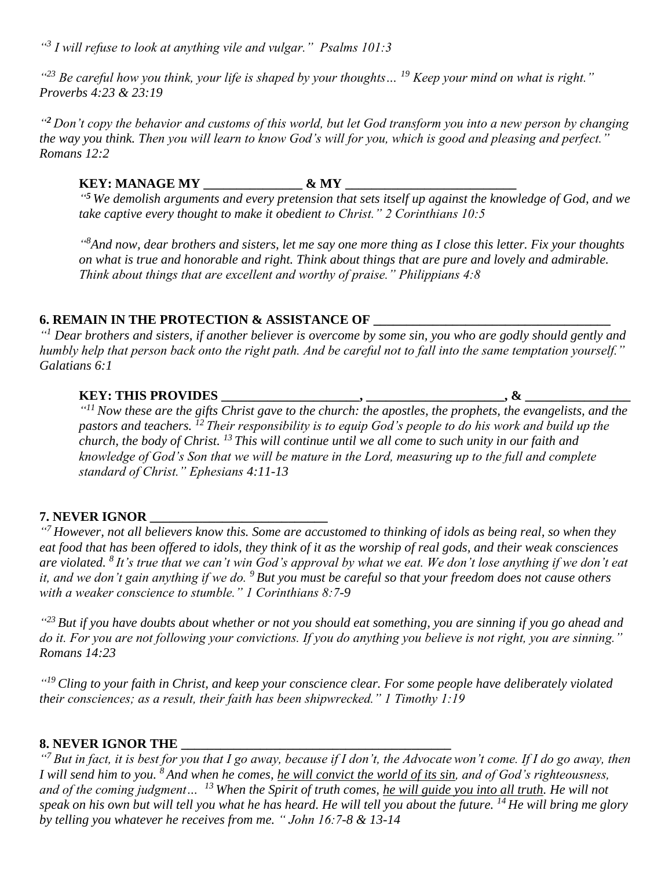*" 3 I will refuse to look at anything vile and vulgar." Psalms 101:3*

*" <sup>23</sup> Be careful how you think, your life is shaped by your thoughts… <sup>19</sup> Keep your mind on what is right." Proverbs 4:23 & 23:19* 

*" <sup>2</sup> Don't copy the behavior and customs of this world, but let God transform you into a new person by changing the way you think. Then you will learn to know God's will for you, which is good and pleasing and perfect." Romans 12:2*

**KEY: MANAGE MY \_\_\_\_\_\_\_\_\_\_\_\_\_\_\_ & MY \_\_\_\_\_\_\_\_\_\_\_\_\_\_\_\_\_\_\_\_\_\_\_\_\_\_** *" <sup>5</sup> We demolish arguments and every pretension that sets itself up against the knowledge of God, and we take captive every thought to make it obedient to Christ." 2 Corinthians 10:5*

*" <sup>8</sup>And now, dear brothers and sisters, let me say one more thing as I close this letter. Fix your thoughts on what is true and honorable and right. Think about things that are pure and lovely and admirable. Think about things that are excellent and worthy of praise." Philippians 4:8*

### **6. REMAIN IN THE PROTECTION & ASSISTANCE OF \_\_\_\_\_\_\_\_\_\_\_\_\_\_\_\_\_\_\_\_\_\_\_\_\_\_\_\_\_\_\_\_\_\_\_\_**

*" <sup>1</sup> Dear brothers and sisters, if another believer is overcome by some sin, you who are godly should gently and humbly help that person back onto the right path. And be careful not to fall into the same temptation yourself." Galatians 6:1*

### **KEY: THIS PROVIDES \_\_\_\_\_\_\_\_\_\_\_\_\_\_\_\_\_\_\_\_\_, \_\_\_\_\_\_\_\_\_\_\_\_\_\_\_\_\_\_\_\_\_, & \_\_\_\_\_\_\_\_\_\_\_\_\_\_\_\_**

*" <sup>11</sup> Now these are the gifts Christ gave to the church: the apostles, the prophets, the evangelists, and the pastors and teachers. <sup>12</sup> Their responsibility is to equip God's people to do his work and build up the church, the body of Christ. <sup>13</sup> This will continue until we all come to such unity in our faith and knowledge of God's Son that we will be mature in the Lord, measuring up to the full and complete standard of Christ." Ephesians 4:11-13*

# **7. NEVER IGNOR**

*" <sup>7</sup> However, not all believers know this. Some are accustomed to thinking of idols as being real, so when they eat food that has been offered to idols, they think of it as the worship of real gods, and their weak consciences are violated. <sup>8</sup> It's true that we can't win God's approval by what we eat. We don't lose anything if we don't eat it, and we don't gain anything if we do. <sup>9</sup> But you must be careful so that your freedom does not cause others with a weaker conscience to stumble." 1 Corinthians 8:7-9*

*" <sup>23</sup> But if you have doubts about whether or not you should eat something, you are sinning if you go ahead and do it. For you are not following your convictions. If you do anything you believe is not right, you are sinning." Romans 14:23*

*" <sup>19</sup> Cling to your faith in Christ, and keep your conscience clear. For some people have deliberately violated their consciences; as a result, their faith has been shipwrecked." 1 Timothy 1:19*

### **8. NEVER IGNOR THE \_\_\_\_\_\_\_\_\_\_\_\_\_\_\_\_\_\_\_\_\_\_\_\_\_\_\_\_\_\_\_\_\_\_\_\_\_\_\_\_\_**

<sup>"7</sup> But in fact, it is best for you that I go away, because if I don't, the Advocate won't come. If I do go away, then *I will send him to you. <sup>8</sup> And when he comes, he will convict the world of its sin, and of God's righteousness, and of the coming judgment… <sup>13</sup> When the Spirit of truth comes, he will guide you into all truth. He will not speak on his own but will tell you what he has heard. He will tell you about the future. <sup>14</sup> He will bring me glory by telling you whatever he receives from me. " John 16:7-8 & 13-14*